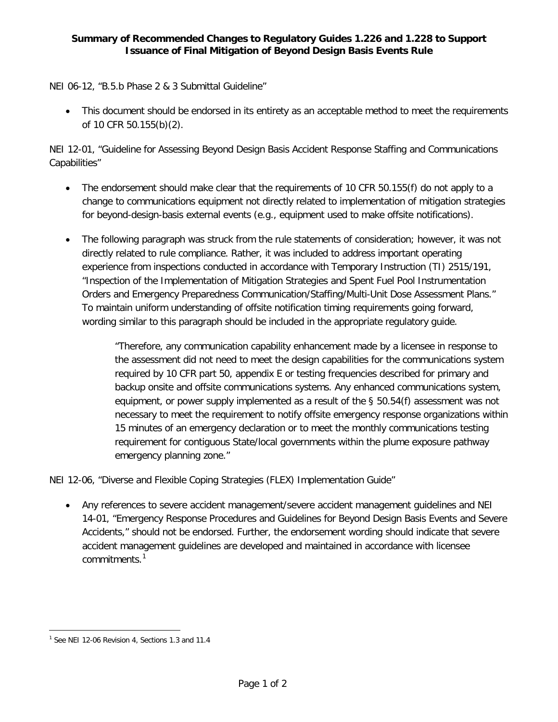## **Summary of Recommended Changes to Regulatory Guides 1.226 and 1.228 to Support Issuance of Final Mitigation of Beyond Design Basis Events Rule**

NEI 06-12, "B.5.b Phase 2 & 3 Submittal Guideline"

• This document should be endorsed in its entirety as an acceptable method to meet the requirements of 10 CFR 50.155(b)(2).

NEI 12-01, "Guideline for Assessing Beyond Design Basis Accident Response Staffing and Communications Capabilities"

- The endorsement should make clear that the requirements of 10 CFR 50.155(f) do not apply to a change to communications equipment not directly related to implementation of mitigation strategies for beyond-design-basis external events (e.g., equipment used to make offsite notifications).
- The following paragraph was struck from the rule statements of consideration; however, it was not directly related to rule compliance. Rather, it was included to address important operating experience from inspections conducted in accordance with Temporary Instruction (TI) 2515/191, "Inspection of the Implementation of Mitigation Strategies and Spent Fuel Pool Instrumentation Orders and Emergency Preparedness Communication/Staffing/Multi-Unit Dose Assessment Plans." To maintain uniform understanding of offsite notification timing requirements going forward, wording similar to this paragraph should be included in the appropriate regulatory guide.

"Therefore, any communication capability enhancement made by a licensee in response to the assessment did not need to meet the design capabilities for the communications system required by 10 CFR part 50, appendix E or testing frequencies described for primary and backup onsite and offsite communications systems. Any enhanced communications system, equipment, or power supply implemented as a result of the § 50.54(f) assessment was not necessary to meet the requirement to notify offsite emergency response organizations within 15 minutes of an emergency declaration or to meet the monthly communications testing requirement for contiguous State/local governments within the plume exposure pathway emergency planning zone."

NEI 12-06, "Diverse and Flexible Coping Strategies (FLEX) Implementation Guide"

• Any references to severe accident management/severe accident management guidelines and NEI 14-01, "Emergency Response Procedures and Guidelines for Beyond Design Basis Events and Severe Accidents," should not be endorsed. Further, the endorsement wording should indicate that severe accident management guidelines are developed and maintained in accordance with licensee commitments<sup>[1](#page-0-0)</sup>

l

<span id="page-0-0"></span><sup>&</sup>lt;sup>1</sup> See NEI 12-06 Revision 4, Sections 1.3 and 11.4